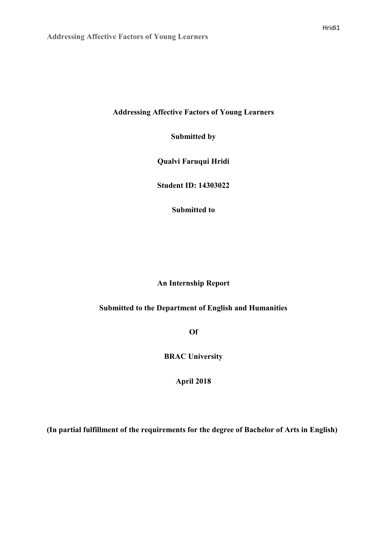**Addressing Affective Factors of Young Learners** 

**Submitted by** 

**Qualvi Faruqui Hridi** 

**Student ID: 14303022** 

**Submitted to** 

# **An Internship Report**

# **Submitted to the Department of English and Humanities**

**Of**

**BRAC University** 

**April 2018** 

**(In partial fulfillment of the requirements for the degree of Bachelor of Arts in English)**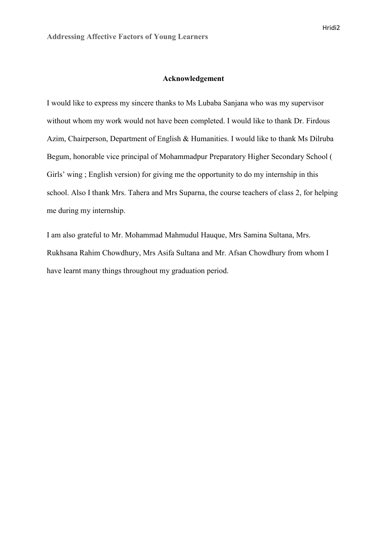### **Acknowledgement**

I would like to express my sincere thanks to Ms Lubaba Sanjana who was my supervisor without whom my work would not have been completed. I would like to thank Dr. Firdous Azim, Chairperson, Department of English & Humanities. I would like to thank Ms Dilruba Begum, honorable vice principal of Mohammadpur Preparatory Higher Secondary School ( Girls' wing ; English version) for giving me the opportunity to do my internship in this school. Also I thank Mrs. Tahera and Mrs Suparna, the course teachers of class 2, for helping me during my internship.

I am also grateful to Mr. Mohammad Mahmudul Hauque, Mrs Samina Sultana, Mrs. Rukhsana Rahim Chowdhury, Mrs Asifa Sultana and Mr. Afsan Chowdhury from whom I have learnt many things throughout my graduation period.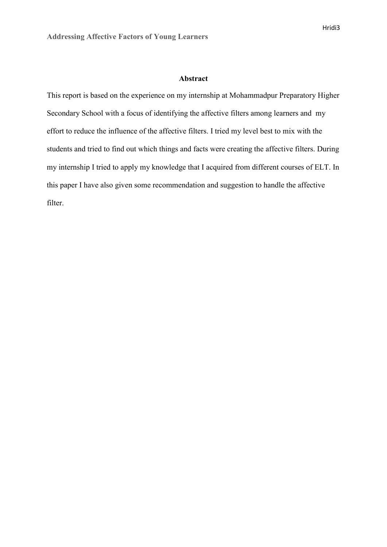### **Abstract**

This report is based on the experience on my internship at Mohammadpur Preparatory Higher Secondary School with a focus of identifying the affective filters among learners and my effort to reduce the influence of the affective filters. I tried my level best to mix with the students and tried to find out which things and facts were creating the affective filters. During my internship I tried to apply my knowledge that I acquired from different courses of ELT. In this paper I have also given some recommendation and suggestion to handle the affective filter.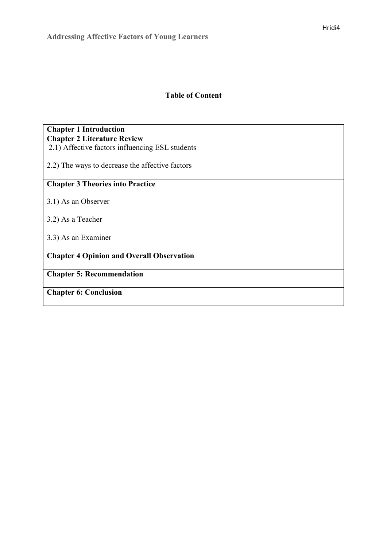# **Table of Content**

# **Chapter 1 Introduction Chapter 2 Literature Review**

2.1) Affective factors influencing ESL students

2.2) The ways to decrease the affective factors

# **Chapter 3 Theories into Practice**

- 3.1) As an Observer
- 3.2) As a Teacher
- 3.3) As an Examiner

# **Chapter 4 Opinion and Overall Observation**

**Chapter 5: Recommendation**

**Chapter 6: Conclusion**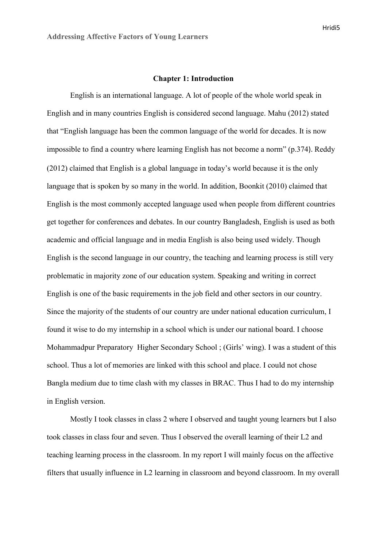#### **Chapter 1: Introduction**

English is an international language. A lot of people of the whole world speak in English and in many countries English is considered second language. Mahu (2012) stated that "English language has been the common language of the world for decades. It is now impossible to find a country where learning English has not become a norm" (p.374). Reddy (2012) claimed that English is a global language in today's world because it is the only language that is spoken by so many in the world. In addition, Boonkit (2010) claimed that English is the most commonly accepted language used when people from different countries get together for conferences and debates. In our country Bangladesh, English is used as both academic and official language and in media English is also being used widely. Though English is the second language in our country, the teaching and learning process is still very problematic in majority zone of our education system. Speaking and writing in correct English is one of the basic requirements in the job field and other sectors in our country. Since the majority of the students of our country are under national education curriculum, I found it wise to do my internship in a school which is under our national board. I choose Mohammadpur Preparatory Higher Secondary School ; (Girls' wing). I was a student of this school. Thus a lot of memories are linked with this school and place. I could not chose Bangla medium due to time clash with my classes in BRAC. Thus I had to do my internship in English version.

 Mostly I took classes in class 2 where I observed and taught young learners but I also took classes in class four and seven. Thus I observed the overall learning of their L2 and teaching learning process in the classroom. In my report I will mainly focus on the affective filters that usually influence in L2 learning in classroom and beyond classroom. In my overall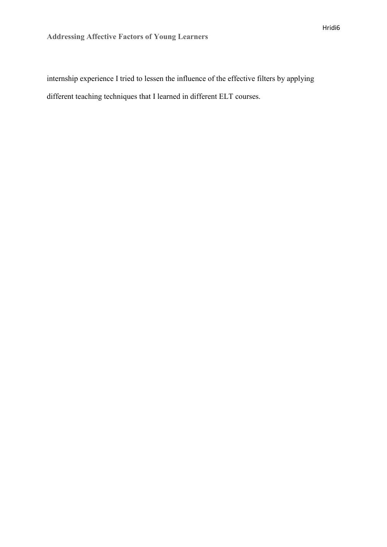internship experience I tried to lessen the influence of the effective filters by applying different teaching techniques that I learned in different ELT courses.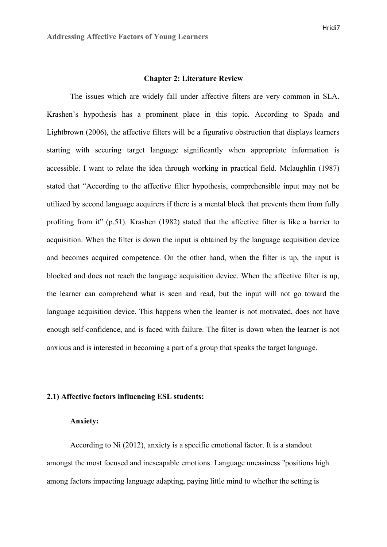#### **Chapter 2: Literature Review**

 The issues which are widely fall under affective filters are very common in SLA. Krashen's hypothesis has a prominent place in this topic. According to Spada and Lightbrown (2006), the affective filters will be a figurative obstruction that displays learners starting with securing target language significantly when appropriate information is accessible. I want to relate the idea through working in practical field. Mclaughlin (1987) stated that "According to the affective filter hypothesis, comprehensible input may not be utilized by second language acquirers if there is a mental block that prevents them from fully profiting from it" (p.51). Krashen (1982) stated that the affective filter is like a barrier to acquisition. When the filter is down the input is obtained by the language acquisition device and becomes acquired competence. On the other hand, when the filter is up, the input is blocked and does not reach the language acquisition device. When the affective filter is up, the learner can comprehend what is seen and read, but the input will not go toward the language acquisition device. This happens when the learner is not motivated, does not have enough self-confidence, and is faced with failure. The filter is down when the learner is not anxious and is interested in becoming a part of a group that speaks the target language.

# **2.1) Affective factors influencing ESL students:**

### **Anxiety:**

According to Ni (2012), anxiety is a specific emotional factor. It is a standout amongst the most focused and inescapable emotions. Language uneasiness "positions high among factors impacting language adapting, paying little mind to whether the setting is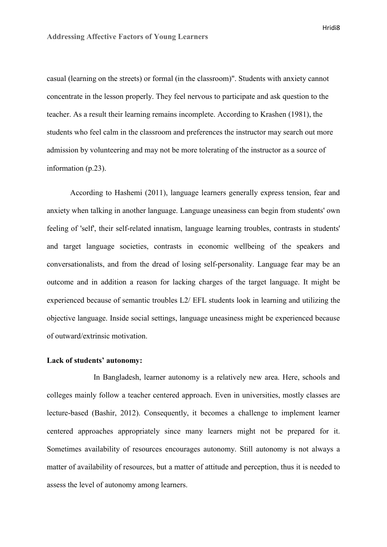casual (learning on the streets) or formal (in the classroom)". Students with anxiety cannot concentrate in the lesson properly. They feel nervous to participate and ask question to the teacher. As a result their learning remains incomplete. According to Krashen (1981), the students who feel calm in the classroom and preferences the instructor may search out more admission by volunteering and may not be more tolerating of the instructor as a source of information (p.23).

 According to Hashemi (2011), language learners generally express tension, fear and anxiety when talking in another language. Language uneasiness can begin from students' own feeling of 'self', their self-related innatism, language learning troubles, contrasts in students' and target language societies, contrasts in economic wellbeing of the speakers and conversationalists, and from the dread of losing self-personality. Language fear may be an outcome and in addition a reason for lacking charges of the target language. It might be experienced because of semantic troubles L2/ EFL students look in learning and utilizing the objective language. Inside social settings, language uneasiness might be experienced because of outward/extrinsic motivation.

### **Lack of students' autonomy:**

 In Bangladesh, learner autonomy is a relatively new area. Here, schools and colleges mainly follow a teacher centered approach. Even in universities, mostly classes are lecture-based (Bashir, 2012). Consequently, it becomes a challenge to implement learner centered approaches appropriately since many learners might not be prepared for it. Sometimes availability of resources encourages autonomy. Still autonomy is not always a matter of availability of resources, but a matter of attitude and perception, thus it is needed to assess the level of autonomy among learners.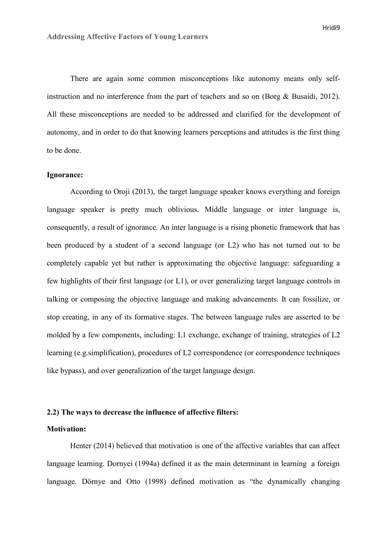There are again some common misconceptions like autonomy means only selfinstruction and no interference from the part of teachers and so on (Borg & Busaidi, 2012). All these misconceptions are needed to be addressed and clarified for the development of autonomy, and in order to do that knowing learners perceptions and attitudes is the first thing to be done.

## **Ignorance:**

 According to Oroji (2013), the target language speaker knows everything and foreign language speaker is pretty much oblivious. Middle language or inter language is, consequently, a result of ignorance. An inter language is a rising phonetic framework that has been produced by a student of a second language (or L2) who has not turned out to be completely capable yet but rather is approximating the objective language: safeguarding a few highlights of their first language (or L1), or over generalizing target language controls in talking or composing the objective language and making advancements. It can fossilize, or stop creating, in any of its formative stages. The between language rules are asserted to be molded by a few components, including: L1 exchange, exchange of training, strategies of L2 learning (e.g.simplification), procedures of L2 correspondence (or correspondence techniques like bypass), and over generalization of the target language design.

## **2.2) The ways to decrease the influence of affective filters:**

## **Motivation:**

Henter (2014) believed that motivation is one of the affective variables that can affect language learning. Dornyei (1994a) defined it as the main determinant in learning a foreign language. Dörnye and Otto (1998) defined motivation as "the dynamically changing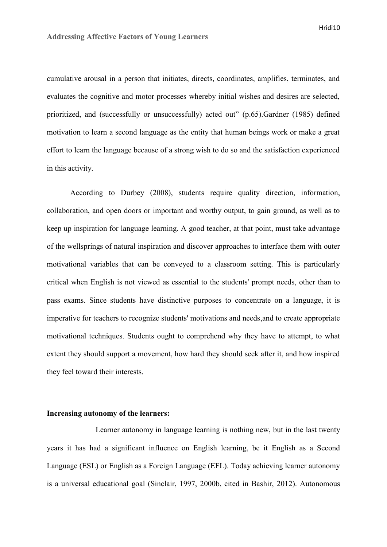cumulative arousal in a person that initiates, directs, coordinates, amplifies, terminates, and evaluates the cognitive and motor processes whereby initial wishes and desires are selected, prioritized, and (successfully or unsuccessfully) acted out" (p.65).Gardner (1985) defined motivation to learn a second language as the entity that human beings work or make a great effort to learn the language because of a strong wish to do so and the satisfaction experienced in this activity.

According to Durbey (2008), students require quality direction, information, collaboration, and open doors or important and worthy output, to gain ground, as well as to keep up inspiration for language learning. A good teacher, at that point, must take advantage of the wellsprings of natural inspiration and discover approaches to interface them with outer motivational variables that can be conveyed to a classroom setting. This is particularly critical when English is not viewed as essential to the students' prompt needs, other than to pass exams. Since students have distinctive purposes to concentrate on a language, it is imperative for teachers to recognize students' motivations and needs,and to create appropriate motivational techniques. Students ought to comprehend why they have to attempt, to what extent they should support a movement, how hard they should seek after it, and how inspired they feel toward their interests.

# **Increasing autonomy of the learners:**

 Learner autonomy in language learning is nothing new, but in the last twenty years it has had a significant influence on English learning, be it English as a Second Language (ESL) or English as a Foreign Language (EFL). Today achieving learner autonomy is a universal educational goal (Sinclair, 1997, 2000b, cited in Bashir, 2012). Autonomous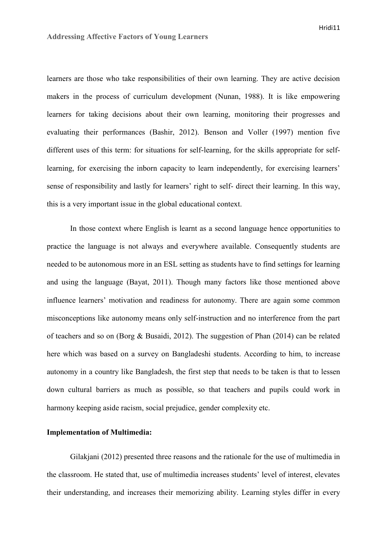learners are those who take responsibilities of their own learning. They are active decision makers in the process of curriculum development (Nunan, 1988). It is like empowering learners for taking decisions about their own learning, monitoring their progresses and evaluating their performances (Bashir, 2012). Benson and Voller (1997) mention five different uses of this term: for situations for self-learning, for the skills appropriate for selflearning, for exercising the inborn capacity to learn independently, for exercising learners' sense of responsibility and lastly for learners' right to self- direct their learning. In this way, this is a very important issue in the global educational context.

In those context where English is learnt as a second language hence opportunities to practice the language is not always and everywhere available. Consequently students are needed to be autonomous more in an ESL setting as students have to find settings for learning and using the language (Bayat, 2011). Though many factors like those mentioned above influence learners' motivation and readiness for autonomy. There are again some common misconceptions like autonomy means only self-instruction and no interference from the part of teachers and so on (Borg & Busaidi, 2012). The suggestion of Phan (2014) can be related here which was based on a survey on Bangladeshi students. According to him, to increase autonomy in a country like Bangladesh, the first step that needs to be taken is that to lessen down cultural barriers as much as possible, so that teachers and pupils could work in harmony keeping aside racism, social prejudice, gender complexity etc.

## **Implementation of Multimedia:**

Gilakjani (2012) presented three reasons and the rationale for the use of multimedia in the classroom. He stated that, use of multimedia increases students' level of interest, elevates their understanding, and increases their memorizing ability. Learning styles differ in every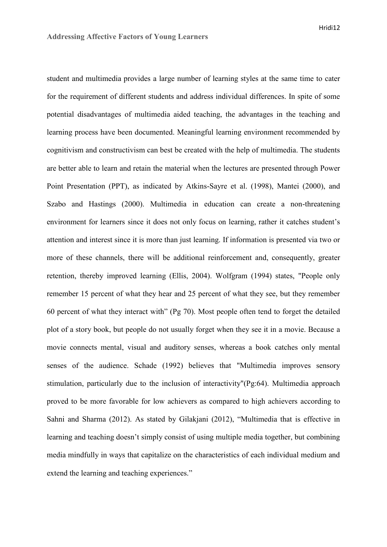Hridi12

student and multimedia provides a large number of learning styles at the same time to cater for the requirement of different students and address individual differences. In spite of some potential disadvantages of multimedia aided teaching, the advantages in the teaching and learning process have been documented. Meaningful learning environment recommended by cognitivism and constructivism can best be created with the help of multimedia. The students are better able to learn and retain the material when the lectures are presented through Power Point Presentation (PPT), as indicated by Atkins-Sayre et al. (1998), Mantei (2000), and Szabo and Hastings (2000). Multimedia in education can create a non-threatening environment for learners since it does not only focus on learning, rather it catches student's attention and interest since it is more than just learning. If information is presented via two or more of these channels, there will be additional reinforcement and, consequently, greater retention, thereby improved learning (Ellis, 2004). Wolfgram (1994) states, "People only remember 15 percent of what they hear and 25 percent of what they see, but they remember 60 percent of what they interact with" (Pg 70). Most people often tend to forget the detailed plot of a story book, but people do not usually forget when they see it in a movie. Because a movie connects mental, visual and auditory senses, whereas a book catches only mental senses of the audience. Schade (1992) believes that "Multimedia improves sensory stimulation, particularly due to the inclusion of interactivity"(Pg:64). Multimedia approach proved to be more favorable for low achievers as compared to high achievers according to Sahni and Sharma (2012). As stated by Gilakjani (2012), "Multimedia that is effective in learning and teaching doesn't simply consist of using multiple media together, but combining media mindfully in ways that capitalize on the characteristics of each individual medium and extend the learning and teaching experiences."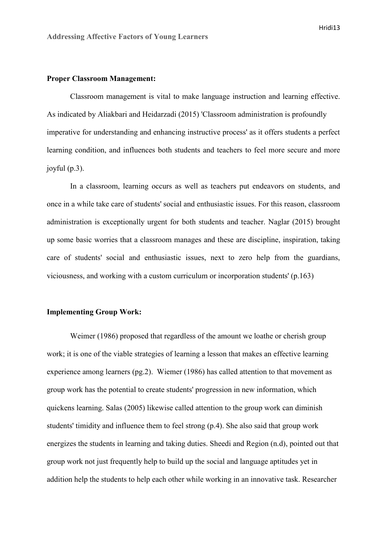## **Proper Classroom Management:**

 Classroom management is vital to make language instruction and learning effective. As indicated by Aliakbari and Heidarzadi (2015) 'Classroom administration is profoundly imperative for understanding and enhancing instructive process' as it offers students a perfect learning condition, and influences both students and teachers to feel more secure and more joyful (p.3).

In a classroom, learning occurs as well as teachers put endeavors on students, and once in a while take care of students' social and enthusiastic issues. For this reason, classroom administration is exceptionally urgent for both students and teacher. Naglar (2015) brought up some basic worries that a classroom manages and these are discipline, inspiration, taking care of students' social and enthusiastic issues, next to zero help from the guardians, viciousness, and working with a custom curriculum or incorporation students' (p.163)

### **Implementing Group Work:**

 Weimer (1986) proposed that regardless of the amount we loathe or cherish group work; it is one of the viable strategies of learning a lesson that makes an effective learning experience among learners (pg.2). Wiemer (1986) has called attention to that movement as group work has the potential to create students' progression in new information, which quickens learning. Salas (2005) likewise called attention to the group work can diminish students' timidity and influence them to feel strong (p.4). She also said that group work energizes the students in learning and taking duties. Sheedi and Region (n.d), pointed out that group work not just frequently help to build up the social and language aptitudes yet in addition help the students to help each other while working in an innovative task. Researcher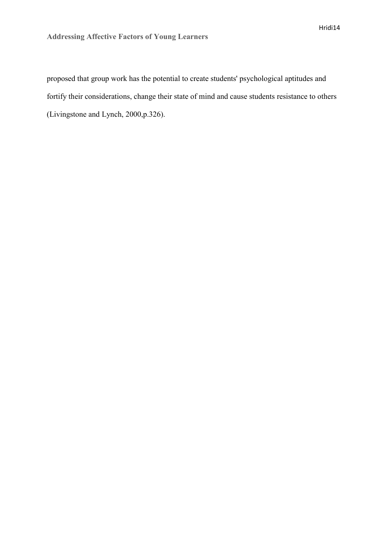proposed that group work has the potential to create students' psychological aptitudes and fortify their considerations, change their state of mind and cause students resistance to others (Livingstone and Lynch, 2000,p.326).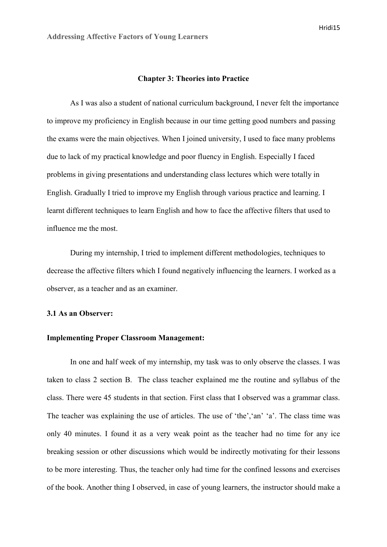#### **Chapter 3: Theories into Practice**

 As I was also a student of national curriculum background, I never felt the importance to improve my proficiency in English because in our time getting good numbers and passing the exams were the main objectives. When I joined university, I used to face many problems due to lack of my practical knowledge and poor fluency in English. Especially I faced problems in giving presentations and understanding class lectures which were totally in English. Gradually I tried to improve my English through various practice and learning. I learnt different techniques to learn English and how to face the affective filters that used to influence me the most.

 During my internship, I tried to implement different methodologies, techniques to decrease the affective filters which I found negatively influencing the learners. I worked as a observer, as a teacher and as an examiner.

#### **3.1 As an Observer:**

# **Implementing Proper Classroom Management:**

In one and half week of my internship, my task was to only observe the classes. I was taken to class 2 section B. The class teacher explained me the routine and syllabus of the class. There were 45 students in that section. First class that I observed was a grammar class. The teacher was explaining the use of articles. The use of 'the','an' 'a'. The class time was only 40 minutes. I found it as a very weak point as the teacher had no time for any ice breaking session or other discussions which would be indirectly motivating for their lessons to be more interesting. Thus, the teacher only had time for the confined lessons and exercises of the book. Another thing I observed, in case of young learners, the instructor should make a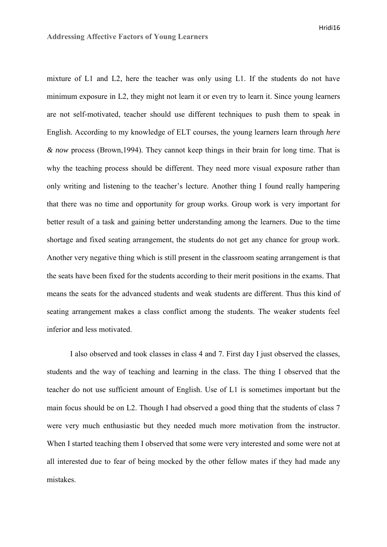mixture of L1 and L2, here the teacher was only using L1. If the students do not have minimum exposure in L2, they might not learn it or even try to learn it. Since young learners are not self-motivated, teacher should use different techniques to push them to speak in English. According to my knowledge of ELT courses, the young learners learn through *here & now* process (Brown,1994). They cannot keep things in their brain for long time. That is why the teaching process should be different. They need more visual exposure rather than only writing and listening to the teacher's lecture. Another thing I found really hampering that there was no time and opportunity for group works. Group work is very important for better result of a task and gaining better understanding among the learners. Due to the time shortage and fixed seating arrangement, the students do not get any chance for group work. Another very negative thing which is still present in the classroom seating arrangement is that the seats have been fixed for the students according to their merit positions in the exams. That means the seats for the advanced students and weak students are different. Thus this kind of seating arrangement makes a class conflict among the students. The weaker students feel inferior and less motivated.

I also observed and took classes in class 4 and 7. First day I just observed the classes, students and the way of teaching and learning in the class. The thing I observed that the teacher do not use sufficient amount of English. Use of L1 is sometimes important but the main focus should be on L2. Though I had observed a good thing that the students of class 7 were very much enthusiastic but they needed much more motivation from the instructor. When I started teaching them I observed that some were very interested and some were not at all interested due to fear of being mocked by the other fellow mates if they had made any mistakes.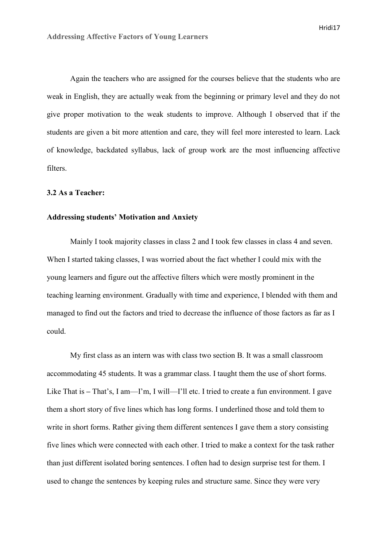Again the teachers who are assigned for the courses believe that the students who are weak in English, they are actually weak from the beginning or primary level and they do not give proper motivation to the weak students to improve. Although I observed that if the students are given a bit more attention and care, they will feel more interested to learn. Lack of knowledge, backdated syllabus, lack of group work are the most influencing affective filters.

## **3.2 As a Teacher:**

# **Addressing students' Motivation and Anxiety**

Mainly I took majority classes in class 2 and I took few classes in class 4 and seven. When I started taking classes, I was worried about the fact whether I could mix with the young learners and figure out the affective filters which were mostly prominent in the teaching learning environment. Gradually with time and experience, I blended with them and managed to find out the factors and tried to decrease the influence of those factors as far as I could.

 My first class as an intern was with class two section B. It was a small classroom accommodating 45 students. It was a grammar class. I taught them the use of short forms. Like That is – That's, I am—I'm, I will—I'll etc. I tried to create a fun environment. I gave them a short story of five lines which has long forms. I underlined those and told them to write in short forms. Rather giving them different sentences I gave them a story consisting five lines which were connected with each other. I tried to make a context for the task rather than just different isolated boring sentences. I often had to design surprise test for them. I used to change the sentences by keeping rules and structure same. Since they were very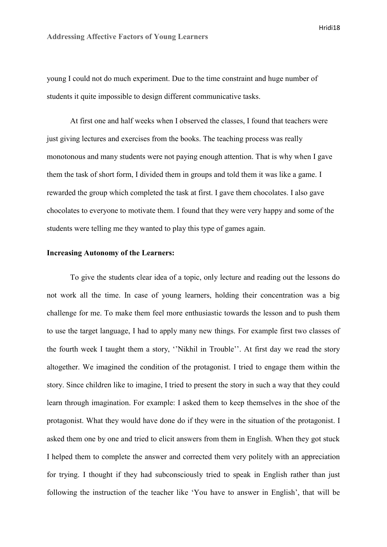young I could not do much experiment. Due to the time constraint and huge number of students it quite impossible to design different communicative tasks.

 At first one and half weeks when I observed the classes, I found that teachers were just giving lectures and exercises from the books. The teaching process was really monotonous and many students were not paying enough attention. That is why when I gave them the task of short form, I divided them in groups and told them it was like a game. I rewarded the group which completed the task at first. I gave them chocolates. I also gave chocolates to everyone to motivate them. I found that they were very happy and some of the students were telling me they wanted to play this type of games again.

### **Increasing Autonomy of the Learners:**

To give the students clear idea of a topic, only lecture and reading out the lessons do not work all the time. In case of young learners, holding their concentration was a big challenge for me. To make them feel more enthusiastic towards the lesson and to push them to use the target language, I had to apply many new things. For example first two classes of the fourth week I taught them a story, ''Nikhil in Trouble''. At first day we read the story altogether. We imagined the condition of the protagonist. I tried to engage them within the story. Since children like to imagine, I tried to present the story in such a way that they could learn through imagination. For example: I asked them to keep themselves in the shoe of the protagonist. What they would have done do if they were in the situation of the protagonist. I asked them one by one and tried to elicit answers from them in English. When they got stuck I helped them to complete the answer and corrected them very politely with an appreciation for trying. I thought if they had subconsciously tried to speak in English rather than just following the instruction of the teacher like 'You have to answer in English', that will be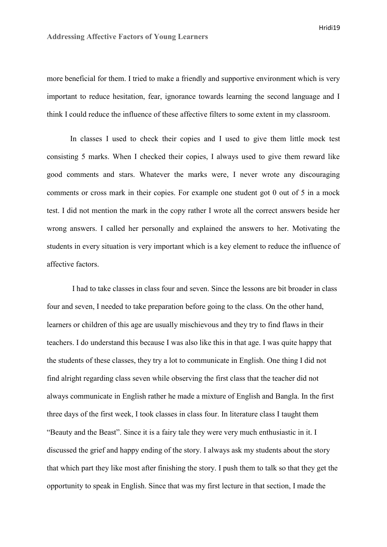more beneficial for them. I tried to make a friendly and supportive environment which is very important to reduce hesitation, fear, ignorance towards learning the second language and I think I could reduce the influence of these affective filters to some extent in my classroom.

In classes I used to check their copies and I used to give them little mock test consisting 5 marks. When I checked their copies, I always used to give them reward like good comments and stars. Whatever the marks were, I never wrote any discouraging comments or cross mark in their copies. For example one student got 0 out of 5 in a mock test. I did not mention the mark in the copy rather I wrote all the correct answers beside her wrong answers. I called her personally and explained the answers to her. Motivating the students in every situation is very important which is a key element to reduce the influence of affective factors.

 I had to take classes in class four and seven. Since the lessons are bit broader in class four and seven, I needed to take preparation before going to the class. On the other hand, learners or children of this age are usually mischievous and they try to find flaws in their teachers. I do understand this because I was also like this in that age. I was quite happy that the students of these classes, they try a lot to communicate in English. One thing I did not find alright regarding class seven while observing the first class that the teacher did not always communicate in English rather he made a mixture of English and Bangla. In the first three days of the first week, I took classes in class four. In literature class I taught them "Beauty and the Beast". Since it is a fairy tale they were very much enthusiastic in it. I discussed the grief and happy ending of the story. I always ask my students about the story that which part they like most after finishing the story. I push them to talk so that they get the opportunity to speak in English. Since that was my first lecture in that section, I made the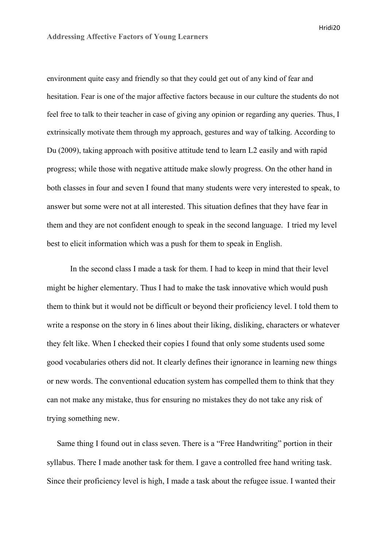environment quite easy and friendly so that they could get out of any kind of fear and hesitation. Fear is one of the major affective factors because in our culture the students do not feel free to talk to their teacher in case of giving any opinion or regarding any queries. Thus, I extrinsically motivate them through my approach, gestures and way of talking. According to Du (2009), taking approach with positive attitude tend to learn L2 easily and with rapid progress; while those with negative attitude make slowly progress. On the other hand in both classes in four and seven I found that many students were very interested to speak, to answer but some were not at all interested. This situation defines that they have fear in them and they are not confident enough to speak in the second language. I tried my level best to elicit information which was a push for them to speak in English.

In the second class I made a task for them. I had to keep in mind that their level might be higher elementary. Thus I had to make the task innovative which would push them to think but it would not be difficult or beyond their proficiency level. I told them to write a response on the story in 6 lines about their liking, disliking, characters or whatever they felt like. When I checked their copies I found that only some students used some good vocabularies others did not. It clearly defines their ignorance in learning new things or new words. The conventional education system has compelled them to think that they can not make any mistake, thus for ensuring no mistakes they do not take any risk of trying something new.

 Same thing I found out in class seven. There is a "Free Handwriting" portion in their syllabus. There I made another task for them. I gave a controlled free hand writing task. Since their proficiency level is high, I made a task about the refugee issue. I wanted their

Hridi20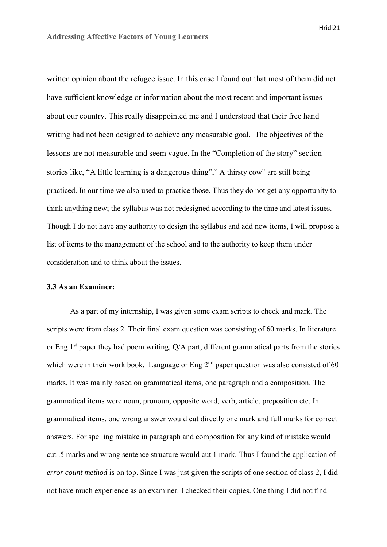written opinion about the refugee issue. In this case I found out that most of them did not have sufficient knowledge or information about the most recent and important issues about our country. This really disappointed me and I understood that their free hand writing had not been designed to achieve any measurable goal. The objectives of the lessons are not measurable and seem vague. In the "Completion of the story" section stories like, "A little learning is a dangerous thing"," A thirsty cow" are still being practiced. In our time we also used to practice those. Thus they do not get any opportunity to think anything new; the syllabus was not redesigned according to the time and latest issues. Though I do not have any authority to design the syllabus and add new items, I will propose a list of items to the management of the school and to the authority to keep them under consideration and to think about the issues.

### **3.3 As an Examiner:**

As a part of my internship, I was given some exam scripts to check and mark. The scripts were from class 2. Their final exam question was consisting of 60 marks. In literature or Eng  $1<sup>st</sup>$  paper they had poem writing, Q/A part, different grammatical parts from the stories which were in their work book. Language or Eng  $2<sup>nd</sup>$  paper question was also consisted of 60 marks. It was mainly based on grammatical items, one paragraph and a composition. The grammatical items were noun, pronoun, opposite word, verb, article, preposition etc. In grammatical items, one wrong answer would cut directly one mark and full marks for correct answers. For spelling mistake in paragraph and composition for any kind of mistake would cut .5 marks and wrong sentence structure would cut 1 mark. Thus I found the application of *error count method* is on top. Since I was just given the scripts of one section of class 2, I did not have much experience as an examiner. I checked their copies. One thing I did not find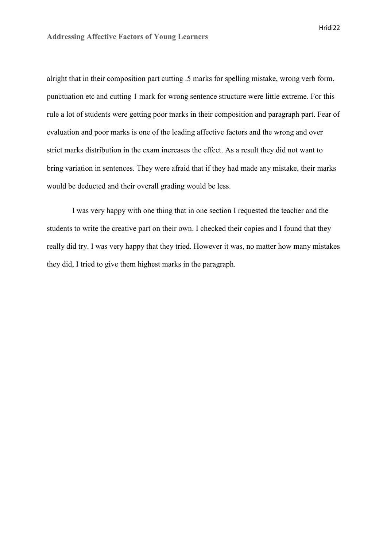alright that in their composition part cutting .5 marks for spelling mistake, wrong verb form, punctuation etc and cutting 1 mark for wrong sentence structure were little extreme. For this rule a lot of students were getting poor marks in their composition and paragraph part. Fear of evaluation and poor marks is one of the leading affective factors and the wrong and over strict marks distribution in the exam increases the effect. As a result they did not want to bring variation in sentences. They were afraid that if they had made any mistake, their marks would be deducted and their overall grading would be less.

 I was very happy with one thing that in one section I requested the teacher and the students to write the creative part on their own. I checked their copies and I found that they really did try. I was very happy that they tried. However it was, no matter how many mistakes they did, I tried to give them highest marks in the paragraph.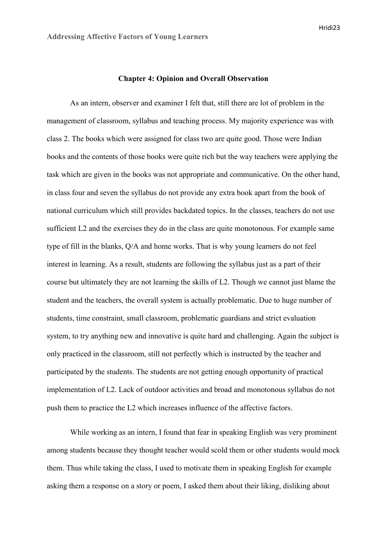#### **Chapter 4: Opinion and Overall Observation**

As an intern, observer and examiner I felt that, still there are lot of problem in the management of classroom, syllabus and teaching process. My majority experience was with class 2. The books which were assigned for class two are quite good. Those were Indian books and the contents of those books were quite rich but the way teachers were applying the task which are given in the books was not appropriate and communicative. On the other hand, in class four and seven the syllabus do not provide any extra book apart from the book of national curriculum which still provides backdated topics. In the classes, teachers do not use sufficient L2 and the exercises they do in the class are quite monotonous. For example same type of fill in the blanks, Q/A and home works. That is why young learners do not feel interest in learning. As a result, students are following the syllabus just as a part of their course but ultimately they are not learning the skills of L2. Though we cannot just blame the student and the teachers, the overall system is actually problematic. Due to huge number of students, time constraint, small classroom, problematic guardians and strict evaluation system, to try anything new and innovative is quite hard and challenging. Again the subject is only practiced in the classroom, still not perfectly which is instructed by the teacher and participated by the students. The students are not getting enough opportunity of practical implementation of L2. Lack of outdoor activities and broad and monotonous syllabus do not push them to practice the L2 which increases influence of the affective factors.

 While working as an intern, I found that fear in speaking English was very prominent among students because they thought teacher would scold them or other students would mock them. Thus while taking the class, I used to motivate them in speaking English for example asking them a response on a story or poem, I asked them about their liking, disliking about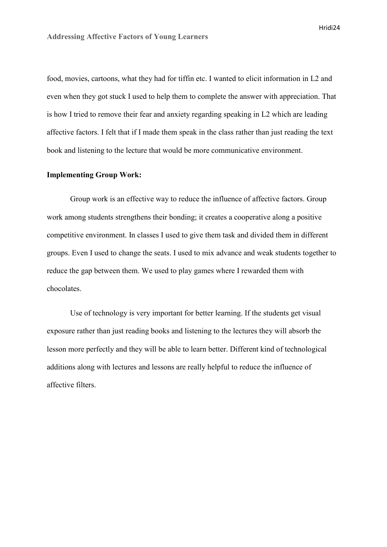food, movies, cartoons, what they had for tiffin etc. I wanted to elicit information in L2 and even when they got stuck I used to help them to complete the answer with appreciation. That is how I tried to remove their fear and anxiety regarding speaking in L2 which are leading affective factors. I felt that if I made them speak in the class rather than just reading the text book and listening to the lecture that would be more communicative environment.

# **Implementing Group Work:**

 Group work is an effective way to reduce the influence of affective factors. Group work among students strengthens their bonding; it creates a cooperative along a positive competitive environment. In classes I used to give them task and divided them in different groups. Even I used to change the seats. I used to mix advance and weak students together to reduce the gap between them. We used to play games where I rewarded them with chocolates.

 Use of technology is very important for better learning. If the students get visual exposure rather than just reading books and listening to the lectures they will absorb the lesson more perfectly and they will be able to learn better. Different kind of technological additions along with lectures and lessons are really helpful to reduce the influence of affective filters.

Hridi24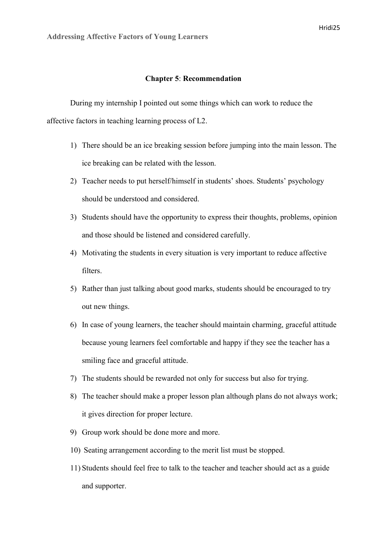## **Chapter 5**: **Recommendation**

During my internship I pointed out some things which can work to reduce the affective factors in teaching learning process of L2.

- 1) There should be an ice breaking session before jumping into the main lesson. The ice breaking can be related with the lesson.
- 2) Teacher needs to put herself/himself in students' shoes. Students' psychology should be understood and considered.
- 3) Students should have the opportunity to express their thoughts, problems, opinion and those should be listened and considered carefully.
- 4) Motivating the students in every situation is very important to reduce affective filters.
- 5) Rather than just talking about good marks, students should be encouraged to try out new things.
- 6) In case of young learners, the teacher should maintain charming, graceful attitude because young learners feel comfortable and happy if they see the teacher has a smiling face and graceful attitude.
- 7) The students should be rewarded not only for success but also for trying.
- 8) The teacher should make a proper lesson plan although plans do not always work; it gives direction for proper lecture.
- 9) Group work should be done more and more.
- 10) Seating arrangement according to the merit list must be stopped.
- 11) Students should feel free to talk to the teacher and teacher should act as a guide and supporter.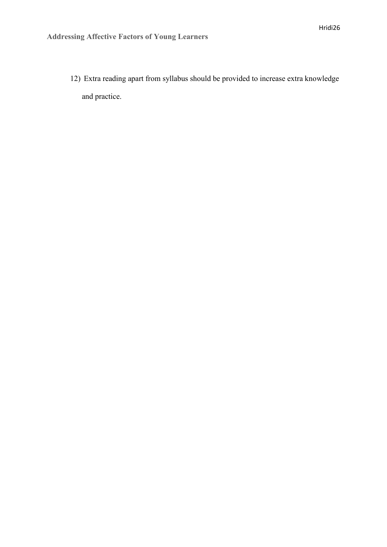12) Extra reading apart from syllabus should be provided to increase extra knowledge and practice.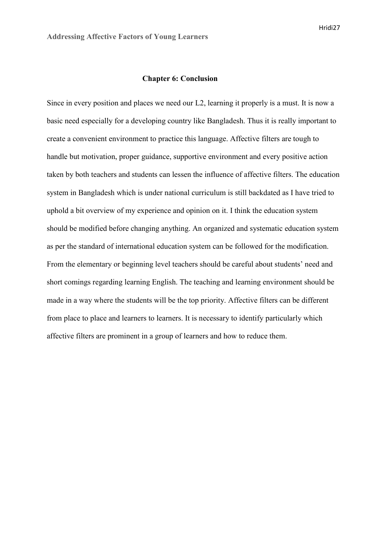#### **Chapter 6: Conclusion**

Since in every position and places we need our L2, learning it properly is a must. It is now a basic need especially for a developing country like Bangladesh. Thus it is really important to create a convenient environment to practice this language. Affective filters are tough to handle but motivation, proper guidance, supportive environment and every positive action taken by both teachers and students can lessen the influence of affective filters. The education system in Bangladesh which is under national curriculum is still backdated as I have tried to uphold a bit overview of my experience and opinion on it. I think the education system should be modified before changing anything. An organized and systematic education system as per the standard of international education system can be followed for the modification. From the elementary or beginning level teachers should be careful about students' need and short comings regarding learning English. The teaching and learning environment should be made in a way where the students will be the top priority. Affective filters can be different from place to place and learners to learners. It is necessary to identify particularly which affective filters are prominent in a group of learners and how to reduce them.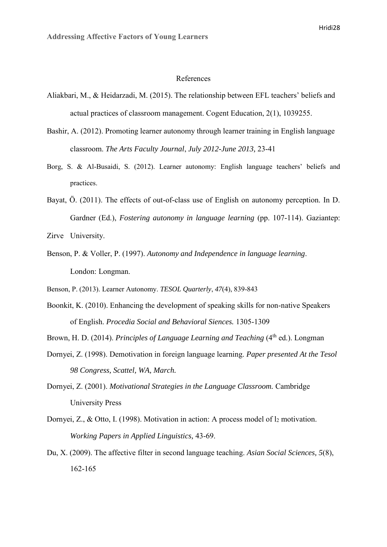#### References

- Aliakbari, M., & Heidarzadi, M. (2015). The relationship between EFL teachers' beliefs and actual practices of classroom management. Cogent Education, 2(1), 1039255.
- Bashir, A. (2012). Promoting learner autonomy through learner training in English language classroom. *The Arts Faculty Journal*, *July 2012-June 2013,* 23-41
- Borg, S. & Al-Busaidi, S. (2012). Learner autonomy: English language teachers' beliefs and practices.
- Bayat, Ӧ. (2011). The effects of out-of-class use of English on autonomy perception. In D. Gardner (Ed.), *Fostering autonomy in language learning* (pp. 107-114). Gaziantep:

Zirve University.

- Benson, P. & Voller, P. (1997). *Autonomy and Independence in language learning*. London: Longman.
- Benson, P. (2013). Learner Autonomy. *TESOL Quarterly*, *47*(4), 839-843
- Boonkit, K. (2010). Enhancing the development of speaking skills for non-native Speakers of English. *Procedia Social and Behavioral Siences.* 1305-1309
- Brown, H. D. (2014). *Principles of Language Learning and Teaching* (4<sup>th</sup> ed.). Longman
- Dornyei, Z. (1998). Demotivation in foreign language learning. *Paper presented At the Tesol 98 Congress, Scattel, WA, March.*
- Dornyei, Z. (2001). *Motivational Strategies in the Language Classroom.* Cambridge University Press
- Dornyei, Z., & Otto, I. (1998). Motivation in action: A process model of  $l_2$  motivation. *Working Papers in Applied Linguistics,* 43-69.
- Du, X. (2009). The affective filter in second language teaching. *Asian Social Sciences, 5*(8), 162-165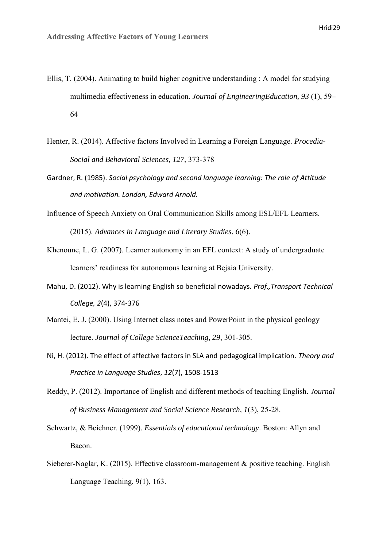- Ellis, T. (2004). Animating to build higher cognitive understanding : A model for studying multimedia effectiveness in education. *Journal of EngineeringEducation, 93* (1), 59– 64
- Henter, R. (2014). Affective factors Involved in Learning a Foreign Language. *Procedia-Social and Behavioral Sciences, 127,* 373-378
- Gardner, R. (1985). *Social psychology and second language learning: The role of Attitude and motivation. London, Edward Arnold.*
- Influence of Speech Anxiety on Oral Communication Skills among ESL/EFL Learners. (2015). *Advances in Language and Literary Studies*, 6(6).
- Khenoune, L. G. (2007). Learner autonomy in an EFL context: A study of undergraduate learners' readiness for autonomous learning at Bejaia University.
- Mahu, D. (2012). Why is learning English so beneficial nowadays. *Prof.,Transport Technical College, 2*(4), 374-376
- Mantei, E. J. (2000). Using Internet class notes and PowerPoint in the physical geology lecture. *Journal of College ScienceTeaching, 29*, 301-305.
- Ni, H. (2012). The effect of affective factors in SLA and pedagogical implication. *Theory and Practice in Language Studies*, *12*(7), 1508-1513
- Reddy, P. (2012). Importance of English and different methods of teaching English. *Journal of Business Management and Social Science Research, 1*(3), 25-28.
- Schwartz, & Beichner. (1999). *Essentials of educational technology*. Boston: Allyn and Bacon.
- Sieberer-Naglar, K. (2015). Effective classroom-management & positive teaching. English Language Teaching, 9(1), 163.